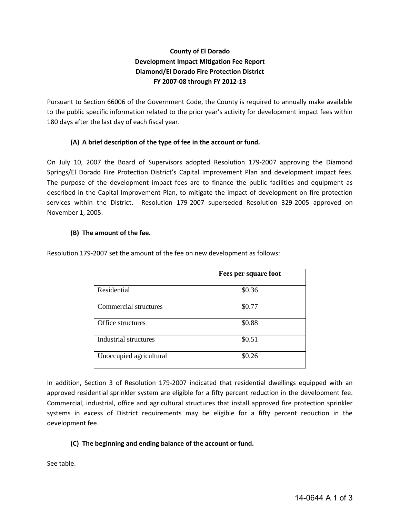# **County of El Dorado Development Impact Mitigation Fee Report Diamond/El Dorado Fire Protection District FY 2007-08 through FY 2012-13**

Pursuant to Section 66006 of the Government Code, the County is required to annually make available to the public specific information related to the prior year's activity for development impact fees within 180 days after the last day of each fiscal year.

# **(A) A brief description of the type of fee in the account or fund.**

On July 10, 2007 the Board of Supervisors adopted Resolution 179-2007 approving the Diamond Springs/El Dorado Fire Protection District's Capital Improvement Plan and development impact fees. The purpose of the development impact fees are to finance the public facilities and equipment as described in the Capital Improvement Plan, to mitigate the impact of development on fire protection services within the District. Resolution 179-2007 superseded Resolution 329-2005 approved on November 1, 2005.

## **(B) The amount of the fee.**

|                              | Fees per square foot |
|------------------------------|----------------------|
| Residential                  | \$0.36               |
| Commercial structures        | \$0.77               |
| Office structures            | \$0.88               |
| <b>Industrial structures</b> | \$0.51               |
| Unoccupied agricultural      | \$0.26               |

Resolution 179-2007 set the amount of the fee on new development as follows:

In addition, Section 3 of Resolution 179-2007 indicated that residential dwellings equipped with an approved residential sprinkler system are eligible for a fifty percent reduction in the development fee. Commercial, industrial, office and agricultural structures that install approved fire protection sprinkler systems in excess of District requirements may be eligible for a fifty percent reduction in the development fee.

## **(C) The beginning and ending balance of the account or fund.**

See table.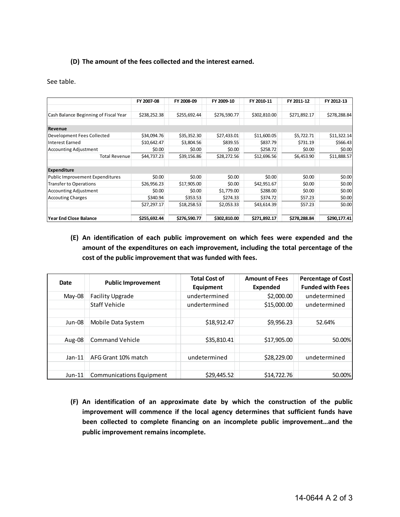#### **(D) The amount of the fees collected and the interest earned.**

#### See table.

|                                       | FY 2007-08   | FY 2008-09   | FY 2009-10   | FY 2010-11   | FY 2011-12   | FY 2012-13   |
|---------------------------------------|--------------|--------------|--------------|--------------|--------------|--------------|
| Cash Balance Beginning of Fiscal Year | \$238,252.38 | \$255,692.44 | \$276,590.77 | \$302,810.00 | \$271,892.17 | \$278,288.84 |
| <b>Revenue</b>                        |              |              |              |              |              |              |
| Development Fees Collected            | \$34,094.76  | \$35,352.30  | \$27,433.01  | \$11,600.05  | \$5,722.71   | \$11,322.14  |
| Interest Earned                       | \$10,642.47  | \$3,804.56   | \$839.55     | \$837.79     | \$731.19     | \$566.43     |
| <b>Accounting Adjustment</b>          | \$0.00       | \$0.00       | \$0.00       | \$258.72     | \$0.00       | \$0.00       |
| <b>Total Revenue</b>                  | \$44,737.23  | \$39,156.86  | \$28,272.56  | \$12,696.56  | \$6,453.90   | \$11,888.57  |
| <b>Expenditure</b>                    |              |              |              |              |              |              |
| Public Improvement Expenditures       | \$0.00       | \$0.00       | \$0.00       | \$0.00       | \$0.00       | \$0.00       |
| Transfer to Operations                | \$26,956.23  | \$17,905.00  | \$0.00       | \$42,951.67  | \$0.00       | \$0.00       |
| <b>Accounting Adjustment</b>          | \$0.00       | \$0.00       | \$1,779.00   | \$288.00     | \$0.00       | \$0.00       |
| <b>Accouting Charges</b>              | \$340.94     | \$353.53     | \$274.33     | \$374.72     | \$57.23      | \$0.00       |
|                                       | \$27,297.17  | \$18,258.53  | \$2,053.33   | \$43,614.39  | \$57.23      | \$0.00       |
| lYear End Close Balance               | \$255,692.44 | \$276,590.77 | \$302,810.00 | \$271,892.17 | \$278,288.84 | \$290,177.41 |

**(E) An identification of each public improvement on which fees were expended and the amount of the expenditures on each improvement, including the total percentage of the cost of the public improvement that was funded with fees.**

| Date     | <b>Public Improvement</b>       | <b>Total Cost of</b><br>Equipment | <b>Amount of Fees</b><br>Expended | <b>Percentage of Cost</b><br><b>Funded with Fees</b> |
|----------|---------------------------------|-----------------------------------|-----------------------------------|------------------------------------------------------|
| May-08   | <b>Facility Upgrade</b>         | undertermined                     | \$2,000.00                        | undetermined                                         |
|          | Staff Vehicle                   | undertermined                     | \$15,000.00                       | undetermined                                         |
| $Jun-08$ | Mobile Data System              | \$18,912.47                       | \$9,956.23                        | 52.64%                                               |
| Aug-08   | <b>Command Vehicle</b>          | \$35,810.41                       | \$17,905.00                       | 50.00%                                               |
| $Jan-11$ | AFG Grant 10% match             | undetermined                      | \$28,229.00                       | undetermined                                         |
| $Jun-11$ | <b>Communications Equipment</b> | \$29,445.52                       | \$14,722.76                       | 50.00%                                               |

**(F) An identification of an approximate date by which the construction of the public improvement will commence if the local agency determines that sufficient funds have been collected to complete financing on an incomplete public improvement…and the public improvement remains incomplete.**